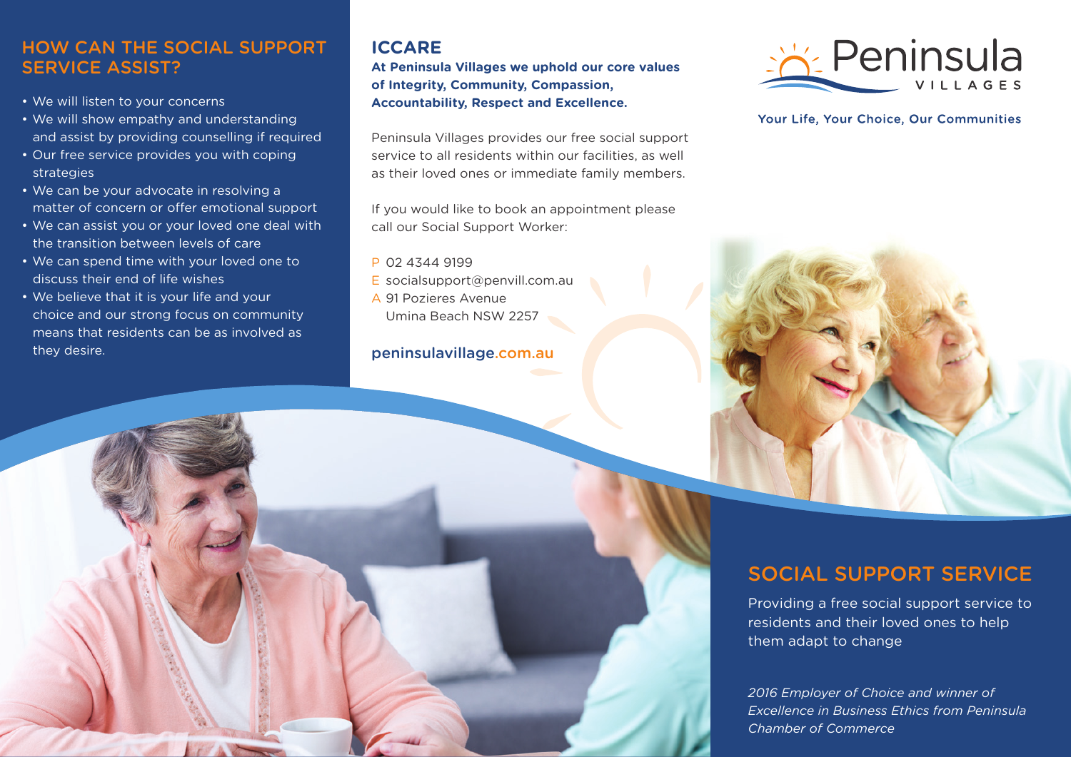## HOW CAN THE SOCIAL SUPPORT SERVICE ASSIST?

- We will listen to your concerns
- We will show empathy and understanding and assist by providing counselling if required
- Our free service provides you with coping strategies
- We can be your advocate in resolving a matter of concern or offer emotional support
- We can assist you or your loved one deal with the transition between levels of care
- We can spend time with your loved one to discuss their end of life wishes
- We believe that it is your life and your choice and our strong focus on community means that residents can be as involved as they desire.

## **ICCARE**

**At Peninsula Villages we uphold our core values of Integrity, Community, Compassion, Accountability, Respect and Excellence.**

Peninsula Villages provides our free social support service to all residents within our facilities, as well as their loved ones or immediate family members.

If you would like to book an appointment please call our Social Support Worker:

- P 02 4344 9199
- E socialsupport@penvill.com.au
- A 91 Pozieres Avenue Umina Beach NSW 2257

## peninsulavillage.com.au



Your Life, Your Choice, Our Communities



# SOCIAL SUPPORT SERVICE

Providing a free social support service to residents and their loved ones to help them adapt to change

*2016 Employer of Choice and winner of Excellence in Business Ethics from Peninsula Chamber of Commerce*